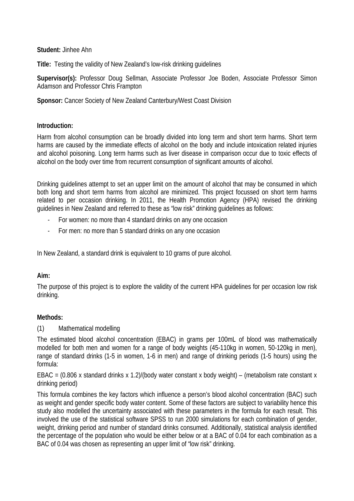**Student:** Jinhee Ahn

**Title:** Testing the validity of New Zealand's low-risk drinking guidelines

**Supervisor(s):** Professor Doug Sellman, Associate Professor Joe Boden, Associate Professor Simon Adamson and Professor Chris Frampton

### **Sponsor:** Cancer Society of New Zealand Canterbury/West Coast Division

### **Introduction:**

Harm from alcohol consumption can be broadly divided into long term and short term harms. Short term harms are caused by the immediate effects of alcohol on the body and include intoxication related injuries and alcohol poisoning. Long term harms such as liver disease in comparison occur due to toxic effects of alcohol on the body over time from recurrent consumption of significant amounts of alcohol.

Drinking guidelines attempt to set an upper limit on the amount of alcohol that may be consumed in which both long and short term harms from alcohol are minimized. This project focussed on short term harms related to per occasion drinking. In 2011, the Health Promotion Agency (HPA) revised the drinking guidelines in New Zealand and referred to these as "low risk" drinking guidelines as follows:

- For women: no more than 4 standard drinks on any one occasion
- For men: no more than 5 standard drinks on any one occasion

In New Zealand, a standard drink is equivalent to 10 grams of pure alcohol.

# **Aim:**

The purpose of this project is to explore the validity of the current HPA guidelines for per occasion low risk drinking.

# **Methods:**

#### (1) Mathematical modelling

The estimated blood alcohol concentration (EBAC) in grams per 100mL of blood was mathematically modelled for both men and women for a range of body weights (45-110kg in women, 50-120kg in men), range of standard drinks (1-5 in women, 1-6 in men) and range of drinking periods (1-5 hours) using the formula:

EBAC = (0.806 x standard drinks x 1.2)/(body water constant x body weight) – (metabolism rate constant x drinking period)

This formula combines the key factors which influence a person's blood alcohol concentration (BAC) such as weight and gender specific body water content. Some of these factors are subject to variability hence this study also modelled the uncertainty associated with these parameters in the formula for each result. This involved the use of the statistical software SPSS to run 2000 simulations for each combination of gender, weight, drinking period and number of standard drinks consumed. Additionally, statistical analysis identified the percentage of the population who would be either below or at a BAC of 0.04 for each combination as a BAC of 0.04 was chosen as representing an upper limit of "low risk" drinking.